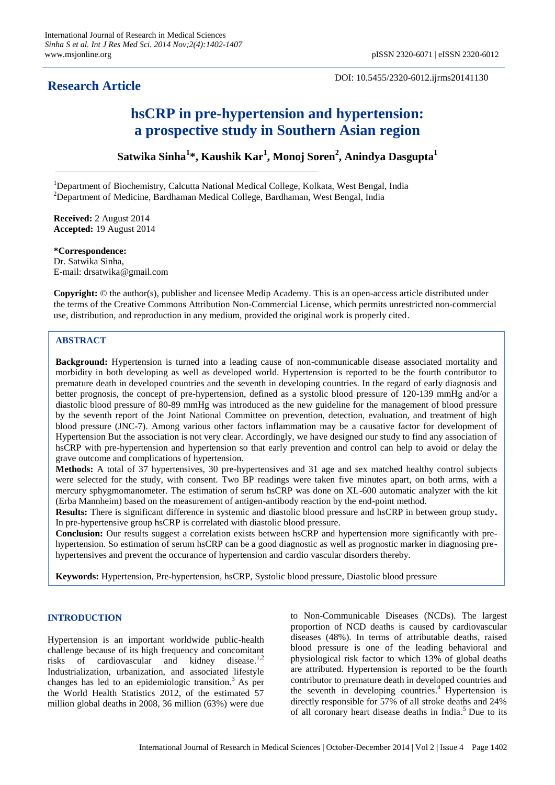# **Research Article**

DOI: 10.5455/2320-6012.ijrms20141130

# **hsCRP in pre-hypertension and hypertension: a prospective study in Southern Asian region**

**Satwika Sinha<sup>1</sup> \*, Kaushik Kar<sup>1</sup> , Monoj Soren<sup>2</sup> , Anindya Dasgupta<sup>1</sup>**

<sup>1</sup>Department of Biochemistry, Calcutta National Medical College, Kolkata, West Bengal, India <sup>2</sup>Department of Medicine, Bardhaman Medical College, Bardhaman, West Bengal, India

**Received:** 2 August 2014 **Accepted:** 19 August 2014

**\*Correspondence:** Dr. Satwika Sinha, E-mail: drsatwika@gmail.com

**Copyright:** © the author(s), publisher and licensee Medip Academy. This is an open-access article distributed under the terms of the Creative Commons Attribution Non-Commercial License, which permits unrestricted non-commercial use, distribution, and reproduction in any medium, provided the original work is properly cited.

# **ABSTRACT**

**Background:** Hypertension is turned into a leading cause of non-communicable disease associated mortality and morbidity in both developing as well as developed world. Hypertension is reported to be the fourth contributor to premature death in developed countries and the seventh in developing countries. In the regard of early diagnosis and better prognosis, the concept of pre-hypertension, defined as a systolic blood pressure of 120-139 mmHg and/or a diastolic blood pressure of 80-89 mmHg was introduced as the new guideline for the management of blood pressure by the seventh report of the Joint National Committee on prevention, detection, evaluation, and treatment of high blood pressure (JNC-7). Among various other factors inflammation may be a causative factor for development of Hypertension But the association is not very clear. Accordingly, we have designed our study to find any association of hsCRP with pre-hypertension and hypertension so that early prevention and control can help to avoid or delay the grave outcome and complications of hypertension.

**Methods:** A total of 37 hypertensives, 30 pre-hypertensives and 31 age and sex matched healthy control subjects were selected for the study, with consent. Two BP readings were taken five minutes apart, on both arms, with a mercury sphygmomanometer. The estimation of serum hsCRP was done on XL-600 automatic analyzer with the kit (Erba Mannheim) based on the measurement of antigen-antibody reaction by the end-point method.

**Results:** There is significant difference in systemic and diastolic blood pressure and hsCRP in between group study**.**  In pre-hypertensive group hsCRP is correlated with diastolic blood pressure.

**Conclusion:** Our results suggest a correlation exists between hsCRP and hypertension more significantly with prehypertension. So estimation of serum hsCRP can be a good diagnostic as well as prognostic marker in diagnosing prehypertensives and prevent the occurance of hypertension and cardio vascular disorders thereby.

**Keywords:** Hypertension, Pre-hypertension, hsCRP, Systolic blood pressure, Diastolic blood pressure

# **INTRODUCTION**

Hypertension is an important worldwide public-health challenge because of its high frequency and concomitant risks of cardiovascular and kidney disease. 1,2 Industrialization, urbanization, and associated lifestyle changes has led to an epidemiologic transition.<sup>3</sup> As per the World Health Statistics 2012, of the estimated 57 million global deaths in 2008, 36 million (63%) were due

to Non-Communicable Diseases (NCDs). The largest proportion of NCD deaths is caused by cardiovascular diseases (48%). In terms of attributable deaths, raised blood pressure is one of the leading behavioral and physiological risk factor to which 13% of global deaths are attributed. Hypertension is reported to be the fourth contributor to premature death in developed countries and the seventh in developing countries.<sup>4</sup> Hypertension is directly responsible for 57% of all stroke deaths and 24% of all coronary heart disease deaths in India. <sup>5</sup> Due to its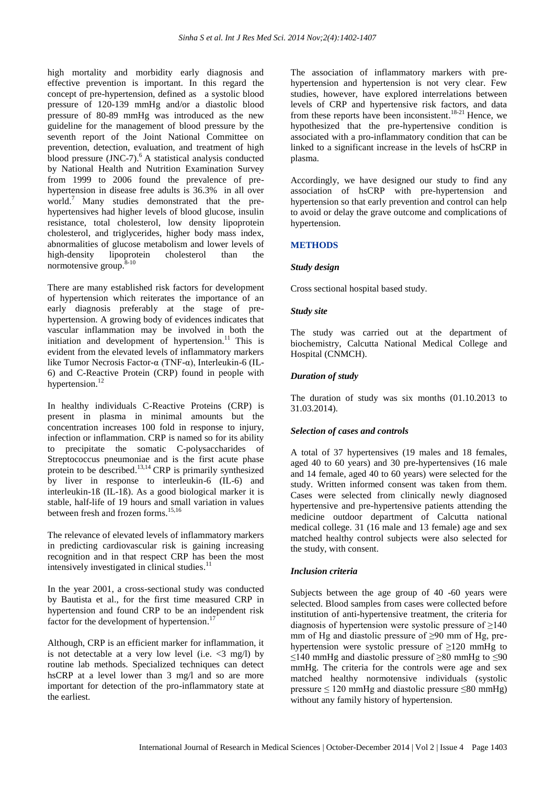high mortality and morbidity early diagnosis and effective prevention is important. In this regard the concept of pre-hypertension, defined as a systolic blood pressure of 120-139 mmHg and/or a diastolic blood pressure of 80-89 mmHg was introduced as the new guideline for the management of blood pressure by the seventh report of the Joint National Committee on prevention, detection, evaluation, and treatment of high blood pressure (JNC-7). <sup>6</sup> A statistical analysis conducted by National Health and Nutrition Examination Survey from 1999 to 2006 found the prevalence of prehypertension in disease free adults is 36.3% in all over world. <sup>7</sup> Many studies demonstrated that the prehypertensives had higher levels of blood glucose, insulin resistance, total cholesterol, low density lipoprotein cholesterol, and triglycerides, higher body mass index, abnormalities of glucose metabolism and lower levels of high-density lipoprotein cholesterol than the normotensive group.<sup>8-10</sup>

There are many established risk factors for development of hypertension which reiterates the importance of an early diagnosis preferably at the stage of prehypertension. A growing body of evidences indicates that vascular inflammation may be involved in both the initiation and development of hypertension.<sup>11</sup> This is evident from the elevated levels of inflammatory markers like Tumor Necrosis Factor-α (TNF-α), Interleukin-6 (IL-6) and C-Reactive Protein (CRP) found in people with hypertension.<sup>12</sup>

In healthy individuals C-Reactive Proteins (CRP) is present in plasma in minimal amounts but the concentration increases 100 fold in response to injury, infection or inflammation. CRP is named so for its ability to precipitate the somatic C-polysaccharides of Streptococcus pneumoniae and is the first acute phase protein to be described.<sup>13,14</sup> CRP is primarily synthesized by liver in response to interleukin-6 (IL-6) and interleukin-1ß (IL-1ß). As a good biological marker it is stable, half-life of 19 hours and small variation in values between fresh and frozen forms. 15,16

The relevance of elevated levels of inflammatory markers in predicting cardiovascular risk is gaining increasing recognition and in that respect CRP has been the most intensively investigated in clinical studies.<sup>11</sup>

In the year 2001, a cross-sectional study was conducted by Bautista et al., for the first time measured CRP in hypertension and found CRP to be an independent risk factor for the development of hypertension. 17

Although, CRP is an efficient marker for inflammation, it is not detectable at a very low level (i.e.  $\langle 3 \text{ mg/l} \rangle$  by routine lab methods. Specialized techniques can detect hsCRP at a level lower than 3 mg/l and so are more important for detection of the pro-inflammatory state at the earliest.

The association of inflammatory markers with prehypertension and hypertension is not very clear. Few studies, however, have explored interrelations between levels of CRP and hypertensive risk factors, and data from these reports have been inconsistent.<sup>18-21</sup> Hence, we hypothesized that the pre-hypertensive condition is associated with a pro-inflammatory condition that can be linked to a significant increase in the levels of hsCRP in plasma.

Accordingly, we have designed our study to find any association of hsCRP with pre-hypertension and hypertension so that early prevention and control can help to avoid or delay the grave outcome and complications of hypertension.

# **METHODS**

# *Study design*

Cross sectional hospital based study.

#### *Study site*

The study was carried out at the department of biochemistry, Calcutta National Medical College and Hospital (CNMCH).

# *Duration of study*

The duration of study was six months (01.10.2013 to 31.03.2014).

# *Selection of cases and controls*

A total of 37 hypertensives (19 males and 18 females, aged 40 to 60 years) and 30 pre-hypertensives (16 male and 14 female, aged 40 to 60 years) were selected for the study. Written informed consent was taken from them. Cases were selected from clinically newly diagnosed hypertensive and pre-hypertensive patients attending the medicine outdoor department of Calcutta national medical college. 31 (16 male and 13 female) age and sex matched healthy control subjects were also selected for the study, with consent.

# *Inclusion criteria*

Subjects between the age group of 40 -60 years were selected. Blood samples from cases were collected before institution of anti-hypertensive treatment, the criteria for diagnosis of hypertension were systolic pressure of  $\geq 140$ mm of Hg and diastolic pressure of ≥90 mm of Hg, prehypertension were systolic pressure of  $\geq$ 120 mmHg to ≤140 mmHg and diastolic pressure of ≥80 mmHg to ≤90 mmHg. The criteria for the controls were age and sex matched healthy normotensive individuals (systolic pressure  $\leq 120$  mmHg and diastolic pressure  $\leq 80$  mmHg) without any family history of hypertension.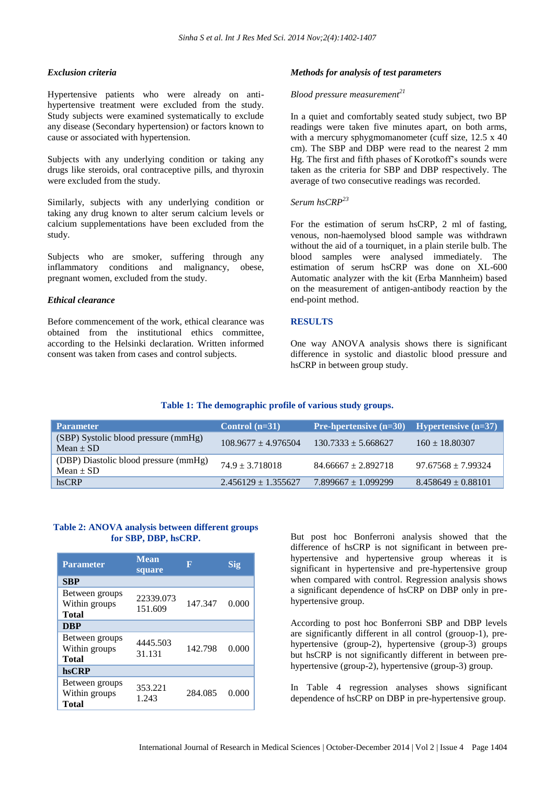#### *Exclusion criteria*

Hypertensive patients who were already on antihypertensive treatment were excluded from the study. Study subjects were examined systematically to exclude any disease (Secondary hypertension) or factors known to cause or associated with hypertension.

Subjects with any underlying condition or taking any drugs like steroids, oral contraceptive pills, and thyroxin were excluded from the study.

Similarly, subjects with any underlying condition or taking any drug known to alter serum calcium levels or calcium supplementations have been excluded from the study.

Subjects who are smoker, suffering through any inflammatory conditions and malignancy, obese, pregnant women, excluded from the study.

#### *Ethical clearance*

Before commencement of the work, ethical clearance was obtained from the institutional ethics committee, according to the Helsinki declaration. Written informed consent was taken from cases and control subjects.

#### *Methods for analysis of test parameters*

# *Blood pressure measurement<sup>21</sup>*

In a quiet and comfortably seated study subject, two BP readings were taken five minutes apart, on both arms, with a mercury sphygmomanometer (cuff size, 12.5 x 40) cm). The SBP and DBP were read to the nearest 2 mm Hg. The first and fifth phases of Korotkoff's sounds were taken as the criteria for SBP and DBP respectively. The average of two consecutive readings was recorded.

#### *Serum hsCRP<sup>23</sup>*

For the estimation of serum hsCRP, 2 ml of fasting, venous, non-haemolysed blood sample was withdrawn without the aid of a tourniquet, in a plain sterile bulb. The blood samples were analysed immediately. The estimation of serum hsCRP was done on XL-600 Automatic analyzer with the kit (Erba Mannheim) based on the measurement of antigen-antibody reaction by the end-point method.

#### **RESULTS**

One way ANOVA analysis shows there is significant difference in systolic and diastolic blood pressure and hsCRP in between group study.

# **Table 1: The demographic profile of various study groups.**

| <b>Parameter</b>                                       | Control $(n=31)$      | <b>Pre-hpertensive <math>(n=30)</math></b> | <b>Hypertensive <math>(n=37)</math></b> |
|--------------------------------------------------------|-----------------------|--------------------------------------------|-----------------------------------------|
| (SBP) Systolic blood pressure (mmHg)<br>$Mean \pm SD$  | $108.9677 + 4.976504$ | $130.7333 + 5.668627$                      | $160 \pm 18.80307$                      |
| (DBP) Diastolic blood pressure (mmHg)<br>Mean $\pm$ SD | $74.9 + 3.718018$     | $84.66667 + 2.892718$                      | $97.67568 + 7.99324$                    |
| hsCRP                                                  | $2.456129 + 1.355627$ | $7.899667 \pm 1.099299$                    | $8.458649 \pm 0.88101$                  |

#### **Table 2: ANOVA analysis between different groups for SBP, DBP, hsCRP.**

| <b>Parameter</b>                                | <b>Mean</b><br>square | Ε       | Sig   |
|-------------------------------------------------|-----------------------|---------|-------|
| <b>SBP</b>                                      |                       |         |       |
| Between groups<br>Within groups<br>Total        | 22339.073<br>151.609  | 147.347 | 0.000 |
| <b>DBP</b>                                      |                       |         |       |
| Between groups<br>Within groups<br><b>Total</b> | 4445.503<br>31.131    | 142.798 | 0.000 |
| hsCRP                                           |                       |         |       |
| Between groups<br>Within groups<br>Total        | 353.221<br>1.243      | 284.085 | 0.000 |

But post hoc Bonferroni analysis showed that the difference of hsCRP is not significant in between prehypertensive and hypertensive group whereas it is significant in hypertensive and pre-hypertensive group when compared with control. Regression analysis shows a significant dependence of hsCRP on DBP only in prehypertensive group.

According to post hoc Bonferroni SBP and DBP levels are significantly different in all control (grouop-1), prehypertensive (group-2), hypertensive (group-3) groups but hsCRP is not significantly different in between prehypertensive (group-2), hypertensive (group-3) group.

In Table 4 regression analyses shows significant dependence of hsCRP on DBP in pre-hypertensive group.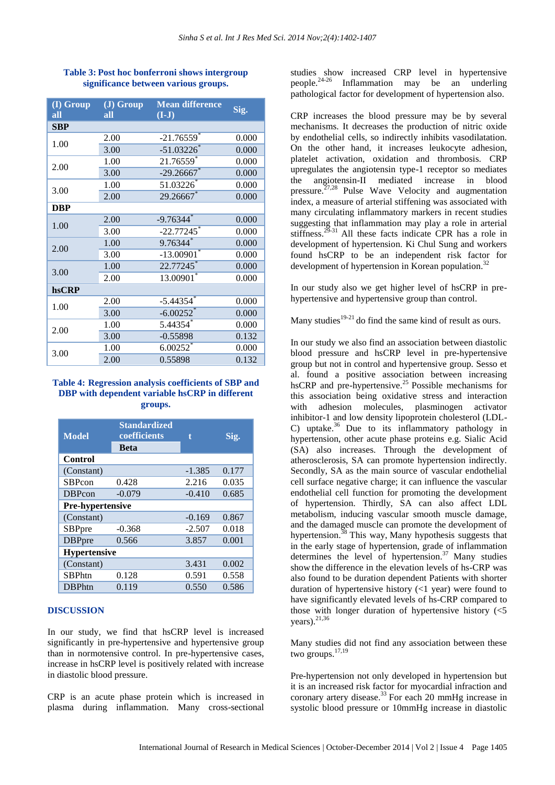| (I) Group<br>all | (J) Group<br>all | <b>Mean difference</b><br>$(I-J)$ | Sig.  |
|------------------|------------------|-----------------------------------|-------|
| <b>SBP</b>       |                  |                                   |       |
| 1.00             | 2.00             | $-21.76559$ *                     | 0.000 |
|                  | 3.00             | $-51.03226$ *                     | 0.000 |
| 2.00             | 1.00             | $21.76559*$                       | 0.000 |
|                  | 3.00             | $-29.26667$ *                     | 0.000 |
| 3.00             | 1.00             | 51.03226                          | 0.000 |
|                  | 2.00             | 29.26667*                         | 0.000 |
| DBP              |                  |                                   |       |
| 1.00             | 2.00             | $-9.76344$ <sup>*</sup>           | 0.000 |
|                  | 3.00             | $-22.77245$                       | 0.000 |
| 2.00             | 1.00             | 9.76344*                          | 0.000 |
|                  | 3.00             | $-13.00901$                       | 0.000 |
| 3.00             | 1.00             | 22.77245*                         | 0.000 |
|                  | 2.00             | 13.00901*                         | 0.000 |
| hsCRP            |                  |                                   |       |
| 1.00             | 2.00             | $-5.44354$                        | 0.000 |
|                  | 3.00             | $-6.00252$                        | 0.000 |
| 2.00             | 1.00             | 5.44354                           | 0.000 |
|                  | 3.00             | $-0.55898$                        | 0.132 |
| 3.00             | 1.00             | 6.00252                           | 0.000 |
|                  | 2.00             | 0.55898                           | 0.132 |

# **Table 3: Post hoc bonferroni shows intergroup significance between various groups.**

# **Table 4: Regression analysis coefficients of SBP and DBP with dependent variable hsCRP in different groups.**

| <b>Model</b>            | <b>Standardized</b><br>coefficients<br><b>Beta</b> | t        | Sig.  |  |
|-------------------------|----------------------------------------------------|----------|-------|--|
| Control                 |                                                    |          |       |  |
| (Constant)              |                                                    | $-1.385$ | 0.177 |  |
| <b>SBPcon</b>           | 0.428                                              | 2.216    | 0.035 |  |
| <b>DBPcon</b>           | $-0.079$                                           | $-0.410$ | 0.685 |  |
| <b>Pre-hypertensive</b> |                                                    |          |       |  |
| (Constant)              |                                                    | $-0.169$ | 0.867 |  |
| SBPpre                  | $-0.368$                                           | $-2.507$ | 0.018 |  |
| <b>DBPpre</b>           | 0.566                                              | 3.857    | 0.001 |  |
| <b>Hypertensive</b>     |                                                    |          |       |  |
| (Constant)              |                                                    | 3.431    | 0.002 |  |
| <b>SBPhtn</b>           | 0.128                                              | 0.591    | 0.558 |  |
| <b>DBPhtn</b>           | 0.119                                              | 0.550    | 0.586 |  |

# **DISCUSSION**

In our study, we find that hsCRP level is increased significantly in pre-hypertensive and hypertensive group than in normotensive control. In pre-hypertensive cases, increase in hsCRP level is positively related with increase in diastolic blood pressure.

CRP is an acute phase protein which is increased in plasma during inflammation. Many cross-sectional

studies show increased CRP level in hypertensive people. 24-26 Inflammation may be an underling pathological factor for development of hypertension also.

CRP increases the blood pressure may be by several mechanisms. It decreases the production of nitric oxide by endothelial cells, so indirectly inhibits vasodilatation. On the other hand, it increases leukocyte adhesion, platelet activation, oxidation and thrombosis. CRP upregulates the angiotensin type-1 receptor so mediates the angiotensin-II mediated increase in blood pressure.<sup>27,28</sup> Pulse Wave Velocity and augmentation index, a measure of arterial stiffening was associated with many circulating inflammatory markers in recent studies suggesting that inflammation may play a role in arterial stiffness.<sup>29-31</sup> All these facts indicate CPR has a role in development of hypertension. Ki Chul Sung and workers found hsCRP to be an independent risk factor for development of hypertension in Korean population.<sup>32</sup>

In our study also we get higher level of hsCRP in prehypertensive and hypertensive group than control.

Many studies $19-21$  do find the same kind of result as ours.

In our study we also find an association between diastolic blood pressure and hsCRP level in pre-hypertensive group but not in control and hypertensive group. Sesso et al. found a positive association between increasing hsCRP and pre-hypertensive.<sup>25</sup> Possible mechanisms for this association being oxidative stress and interaction with adhesion molecules, plasminogen activator inhibitor-1 and low density lipoprotein cholesterol (LDL-C) uptake.<sup>36</sup> Due to its inflammatory pathology in hypertension, other acute phase proteins e.g. Sialic Acid (SA) also increases. Through the development of atherosclerosis, SA can promote hypertension indirectly. Secondly, SA as the main source of vascular endothelial cell surface negative charge; it can influence the vascular endothelial cell function for promoting the development of hypertension. Thirdly, SA can also affect LDL metabolism, inducing vascular smooth muscle damage, and the damaged muscle can promote the development of hypertension.<sup>38</sup> This way, Many hypothesis suggests that in the early stage of hypertension, grade of inflammation determines the level of hypertension.<sup>37</sup> Many studies show the difference in the elevation levels of hs-CRP was also found to be duration dependent Patients with shorter duration of hypertensive history  $\left($  <1 year) were found to have significantly elevated levels of hs-CRP compared to those with longer duration of hypertensive history (<5 years). 21,36

Many studies did not find any association between these two groups. 17,19

Pre-hypertension not only developed in hypertension but it is an increased risk factor for myocardial infraction and coronary artery disease. <sup>33</sup> For each 20 mmHg increase in systolic blood pressure or 10mmHg increase in diastolic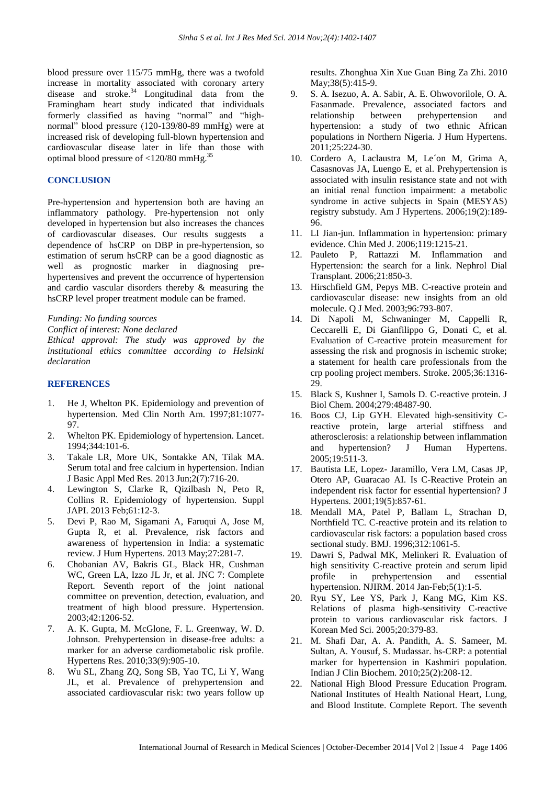blood pressure over 115/75 mmHg, there was a twofold increase in mortality associated with coronary artery disease and stroke.<sup>34</sup> Longitudinal data from the Framingham heart study indicated that individuals formerly classified as having "normal" and "highnormal" blood pressure (120-139/80-89 mmHg) were at increased risk of developing full-blown hypertension and cardiovascular disease later in life than those with optimal blood pressure of <120/80 mmHg.<sup>35</sup>

# **CONCLUSION**

Pre-hypertension and hypertension both are having an inflammatory pathology. Pre-hypertension not only developed in hypertension but also increases the chances of cardiovascular diseases. Our results suggests a dependence of hsCRP on DBP in pre-hypertension, so estimation of serum hsCRP can be a good diagnostic as well as prognostic marker in diagnosing prehypertensives and prevent the occurrence of hypertension and cardio vascular disorders thereby & measuring the hsCRP level proper treatment module can be framed.

#### *Funding: No funding sources*

*Conflict of interest: None declared*

*Ethical approval: The study was approved by the institutional ethics committee according to Helsinki declaration*

#### **REFERENCES**

- 1. He J, Whelton PK. Epidemiology and prevention of hypertension. Med Clin North Am. 1997;81:1077- 97.
- 2. Whelton PK. Epidemiology of hypertension. Lancet. 1994;344:101-6.
- 3. Takale LR, More UK, Sontakke AN, Tilak MA. Serum total and free calcium in hypertension. Indian J Basic Appl Med Res. 2013 Jun;2(7):716-20.
- 4. Lewington S, Clarke R, Qizilbash N, Peto R, Collins R. Epidemiology of hypertension. Suppl JAPI. 2013 Feb;61:12-3.
- 5. Devi P, Rao M, Sigamani A, Faruqui A, Jose M, Gupta R, et al. Prevalence, risk factors and awareness of hypertension in India: a systematic review. J Hum Hypertens. 2013 May;27:281-7.
- 6. Chobanian AV, Bakris GL, Black HR, Cushman WC, Green LA, Izzo JL Jr, et al. JNC 7: Complete Report. Seventh report of the joint national committee on prevention, detection, evaluation, and treatment of high blood pressure. Hypertension. 2003;42:1206-52.
- 7. A. K. Gupta, M. McGlone, F. L. Greenway, W. D. Johnson. Prehypertension in disease-free adults: a marker for an adverse cardiometabolic risk profile. Hypertens Res. 2010;33(9):905-10.
- 8. Wu SL, Zhang ZQ, Song SB, Yao TC, Li Y, Wang JL, et al. Prevalence of prehypertension and associated cardiovascular risk: two years follow up

results. Zhonghua Xin Xue Guan Bing Za Zhi. 2010 May; 38(5): 415-9.

- 9. S. A. Isezuo, A. A. Sabir, A. E. Ohwovorilole, O. A. Fasanmade. Prevalence, associated factors and relationship between prehypertension and hypertension: a study of two ethnic African populations in Northern Nigeria. J Hum Hypertens. 2011;25:224-30.
- 10. Cordero A, Laclaustra M, Le´on M, Grima A, Casasnovas JA, Luengo E, et al. Prehypertension is associated with insulin resistance state and not with an initial renal function impairment: a metabolic syndrome in active subjects in Spain (MESYAS) registry substudy. Am J Hypertens. 2006;19(2):189- 96.
- 11. LI Jian-jun. Inflammation in hypertension: primary evidence. Chin Med J. 2006;119:1215-21.
- 12. Pauleto P, Rattazzi M. Inflammation and Hypertension: the search for a link. Nephrol Dial Transplant. 2006;21:850-3.
- 13. Hirschfield GM, Pepys MB. C-reactive protein and cardiovascular disease: new insights from an old molecule. Q J Med. 2003;96:793-807.
- 14. Di Napoli M, Schwaninger M, Cappelli R, Ceccarelli E, Di Gianfilippo G, Donati C, et al. Evaluation of C-reactive protein measurement for assessing the risk and prognosis in ischemic stroke; a statement for health care professionals from the crp pooling project members. Stroke. 2005;36:1316- 29.
- 15. Black S, Kushner I, Samols D. C-reactive protein. J Biol Chem. 2004;279:48487-90.
- 16. Boos CJ, Lip GYH. Elevated high-sensitivity Creactive protein, large arterial stiffness and atherosclerosis: a relationship between inflammation and hypertension? J Human Hypertens. 2005;19:511-3.
- 17. Bautista LE, Lopez- Jaramillo, Vera LM, Casas JP, Otero AP, Guaracao AI. Is C-Reactive Protein an independent risk factor for essential hypertension? J Hypertens. 2001;19(5):857-61.
- 18. Mendall MA, Patel P, Ballam L, Strachan D, Northfield TC. C-reactive protein and its relation to cardiovascular risk factors: a population based cross sectional study. BMJ. 1996;312:1061-5.
- 19. Dawri S, Padwal MK, Melinkeri R. Evaluation of high sensitivity C-reactive protein and serum lipid profile in prehypertension and essential hypertension. NJIRM. 2014 Jan-Feb;5(1):1-5.
- 20. Ryu SY, Lee YS, Park J, Kang MG, Kim KS. Relations of plasma high-sensitivity C-reactive protein to various cardiovascular risk factors. J Korean Med Sci. 2005;20:379-83.
- 21. M. Shafi Dar, A. A. Pandith, A. S. Sameer, M. Sultan, A. Yousuf, S. Mudassar. hs-CRP: a potential marker for hypertension in Kashmiri population. Indian J Clin Biochem. 2010;25(2):208-12.
- 22. National High Blood Pressure Education Program. National Institutes of Health National Heart, Lung, and Blood Institute. Complete Report. The seventh